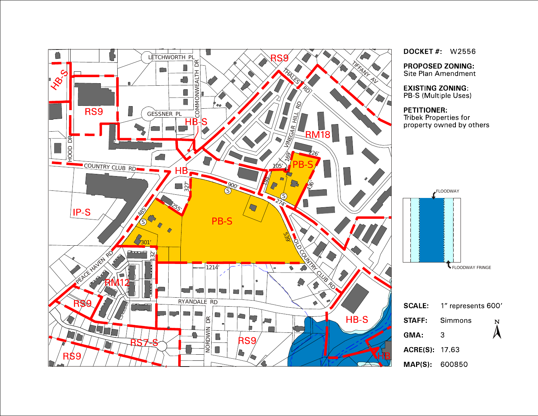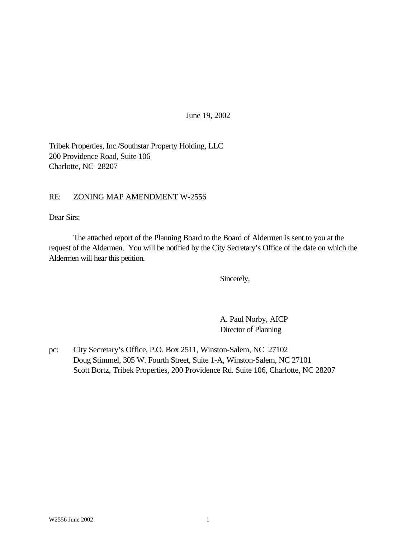June 19, 2002

Tribek Properties, Inc./Southstar Property Holding, LLC 200 Providence Road, Suite 106 Charlotte, NC 28207

### RE: ZONING MAP AMENDMENT W-2556

Dear Sirs:

The attached report of the Planning Board to the Board of Aldermen is sent to you at the request of the Aldermen. You will be notified by the City Secretary's Office of the date on which the Aldermen will hear this petition.

Sincerely,

A. Paul Norby, AICP Director of Planning

pc: City Secretary's Office, P.O. Box 2511, Winston-Salem, NC 27102 Doug Stimmel, 305 W. Fourth Street, Suite 1-A, Winston-Salem, NC 27101 Scott Bortz, Tribek Properties, 200 Providence Rd. Suite 106, Charlotte, NC 28207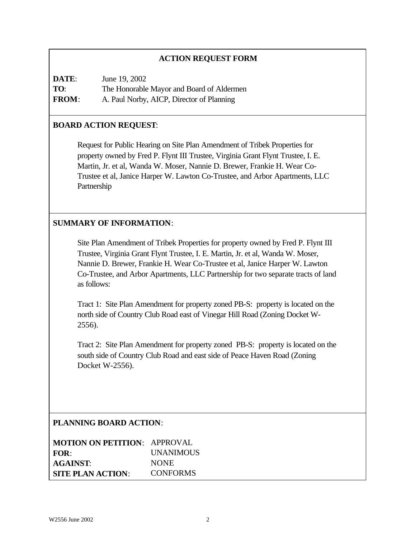## **ACTION REQUEST FORM**

| DATE:        | June 19, 2002                             |
|--------------|-------------------------------------------|
| TO:          | The Honorable Mayor and Board of Aldermen |
| <b>FROM:</b> | A. Paul Norby, AICP, Director of Planning |

### **BOARD ACTION REQUEST**:

Request for Public Hearing on Site Plan Amendment of Tribek Properties for property owned by Fred P. Flynt III Trustee, Virginia Grant Flynt Trustee, I. E. Martin, Jr. et al, Wanda W. Moser, Nannie D. Brewer, Frankie H. Wear Co-Trustee et al, Janice Harper W. Lawton Co-Trustee, and Arbor Apartments, LLC Partnership

### **SUMMARY OF INFORMATION**:

Site Plan Amendment of Tribek Properties for property owned by Fred P. Flynt III Trustee, Virginia Grant Flynt Trustee, I. E. Martin, Jr. et al, Wanda W. Moser, Nannie D. Brewer, Frankie H. Wear Co-Trustee et al, Janice Harper W. Lawton Co-Trustee, and Arbor Apartments, LLC Partnership for two separate tracts of land as follows:

Tract 1: Site Plan Amendment for property zoned PB-S: property is located on the north side of Country Club Road east of Vinegar Hill Road (Zoning Docket W-2556).

Tract 2: Site Plan Amendment for property zoned PB-S: property is located on the south side of Country Club Road and east side of Peace Haven Road (Zoning Docket W-2556).

### **PLANNING BOARD ACTION**:

| <b>MOTION ON PETITION: APPROVAL</b> |                  |
|-------------------------------------|------------------|
| FOR:                                | <b>UNANIMOUS</b> |
| <b>AGAINST:</b>                     | <b>NONE</b>      |
| <b>SITE PLAN ACTION:</b>            | <b>CONFORMS</b>  |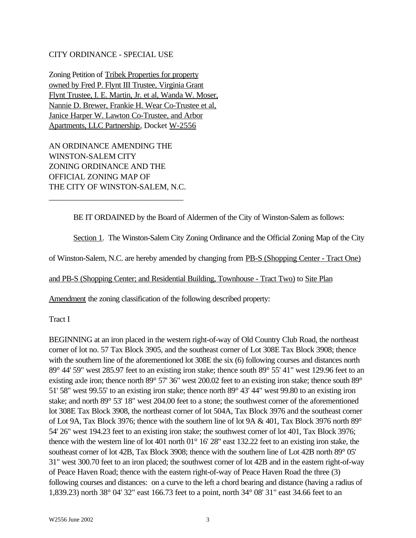### CITY ORDINANCE - SPECIAL USE

Zoning Petition of Tribek Properties for property owned by Fred P. Flynt III Trustee, Virginia Grant Flynt Trustee, I. E. Martin, Jr. et al, Wanda W. Moser, Nannie D. Brewer, Frankie H. Wear Co-Trustee et al, Janice Harper W. Lawton Co-Trustee, and Arbor Apartments, LLC Partnership, Docket W-2556

AN ORDINANCE AMENDING THE WINSTON-SALEM CITY ZONING ORDINANCE AND THE OFFICIAL ZONING MAP OF THE CITY OF WINSTON-SALEM, N.C.

\_\_\_\_\_\_\_\_\_\_\_\_\_\_\_\_\_\_\_\_\_\_\_\_\_\_\_\_\_\_\_\_\_

BE IT ORDAINED by the Board of Aldermen of the City of Winston-Salem as follows:

Section 1. The Winston-Salem City Zoning Ordinance and the Official Zoning Map of the City

of Winston-Salem, N.C. are hereby amended by changing from PB-S (Shopping Center - Tract One)

and PB-S (Shopping Center; and Residential Building, Townhouse - Tract Two) to Site Plan

Amendment the zoning classification of the following described property:

Tract I

BEGINNING at an iron placed in the western right-of-way of Old Country Club Road, the northeast corner of lot no. 57 Tax Block 3905, and the southeast corner of Lot 308E Tax Block 3908; thence with the southern line of the aforementioned lot 308E the six (6) following courses and distances north 89° 44' 59" west 285.97 feet to an existing iron stake; thence south 89° 55' 41" west 129.96 feet to an existing axle iron; thence north 89° 57' 36" west 200.02 feet to an existing iron stake; thence south 89° 51' 58" west 99.55' to an existing iron stake; thence north 89° 43' 44" west 99.80 to an existing iron stake; and north 89° 53' 18" west 204.00 feet to a stone; the southwest corner of the aforementioned lot 308E Tax Block 3908, the northeast corner of lot 504A, Tax Block 3976 and the southeast corner of Lot 9A, Tax Block 3976; thence with the southern line of lot 9A & 401, Tax Block 3976 north 89° 54' 26" west 194.23 feet to an existing iron stake; the southwest corner of lot 401, Tax Block 3976; thence with the western line of lot 401 north 01° 16' 28" east 132.22 feet to an existing iron stake, the southeast corner of lot 42B, Tax Block 3908; thence with the southern line of Lot 42B north 89° 05' 31" west 300.70 feet to an iron placed; the southwest corner of lot 42B and in the eastern right-of-way of Peace Haven Road; thence with the eastern right-of-way of Peace Haven Road the three (3) following courses and distances: on a curve to the left a chord bearing and distance (having a radius of 1,839.23) north 38° 04' 32" east 166.73 feet to a point, north 34° 08' 31" east 34.66 feet to an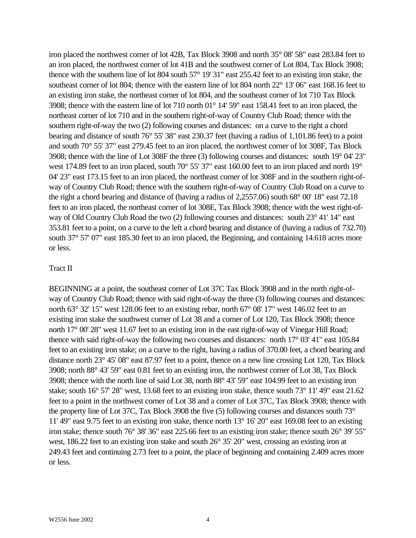iron placed the northwest corner of lot 42B, Tax Block 3908 and north 35° 08' 58" east 283.84 feet to an iron placed, the northwest corner of lot 41B and the southwest corner of Lot 804, Tax Block 3908; thence with the southern line of lot 804 south 57° 19' 31" east 255.42 feet to an existing iron stake, the southeast corner of lot 804; thence with the eastern line of lot 804 north 22° 13' 06" east 168.16 feet to an existing iron stake, the northeast corner of lot 804, and the southeast corner of lot 710 Tax Block 3908; thence with the eastern line of lot 710 north 01° 14' 59" east 158.41 feet to an iron placed, the northeast corner of lot 710 and in the southern right-of-way of Country Club Road; thence with the southern right-of-way the two (2) following courses and distances: on a curve to the right a chord bearing and distance of south 76° 55' 38" east 230.37 feet (having a radius of 1,101.86 feet) to a point and south 70° 55' 37" east 279.45 feet to an iron placed, the northwest corner of lot 308F, Tax Block 3908; thence with the line of Lot 308F the three (3) following courses and distances: south 19° 04' 23" west 174.89 feet to an iron placed, south 70° 55' 37" east 160.00 feet to an iron placed and north 19° 04' 23" east 173.15 feet to an iron placed, the northeast corner of lot 308F and in the southern right-ofway of Country Club Road; thence with the southern right-of-way of Country Club Road on a curve to the right a chord bearing and distance of (having a radius of 2,2557.06) south 68° 00' 18" east 72.18 feet to an iron placed, the northeast corner of lot 308E, Tax Block 3908; thence with the west right-ofway of Old Country Club Road the two (2) following courses and distances: south 23° 41' 14" east 353.81 feet to a point, on a curve to the left a chord bearing and distance of (having a radius of 732.70) south 37° 57′ 07″ east 185.30 feet to an iron placed, the Beginning, and containing 14.618 acres more or less.

#### Tract II

BEGINNING at a point, the southeast corner of Lot 37C Tax Block 3908 and in the north right-ofway of Country Club Road; thence with said right-of-way the three (3) following courses and distances: north 63° 32' 15" west 128.06 feet to an existing rebar, north 67° 08' 17" west 146.02 feet to an existing iron stake the southwest corner of Lot 38 and a corner of Lot 120, Tax Block 3908; thence north 17<sup>°</sup> 00' 28" west 11.67 feet to an existing iron in the east right-of-way of Vinegar Hill Road; thence with said right-of-way the following two courses and distances: north 17° 03' 41" east 105.84 feet to an existing iron stake; on a curve to the right, having a radius of 370.00 feet, a chord bearing and distance north 23° 45' 08" east 87.97 feet to a point, thence on a new line crossing Lot 120, Tax Block 3908; north 88° 43' 59" east 0.81 feet to an existing iron, the northwest corner of Lot 38, Tax Block 3908; thence with the north line of said Lot 38, north 88° 43' 59" east 104.99 feet to an existing iron stake; south 16° 57' 28" west, 13.68 feet to an existing iron stake, thence south 73° 11' 49" east 21.62 feet to a point in the northwest corner of Lot 38 and a corner of Lot 37C, Tax Block 3908; thence with the property line of Lot 37C, Tax Block 3908 the five (5) following courses and distances south 73° 11' 49" east 9.75 feet to an existing iron stake, thence north 13° 16' 20" east 169.08 feet to an existing iron stake; thence south 76° 38' 36" east 225.66 feet to an existing iron stake; thence south 26° 39' 55" west, 186.22 feet to an existing iron stake and south 26° 35' 20" west, crossing an existing iron at 249.43 feet and continuing 2.73 feet to a point, the place of beginning and containing 2.409 acres more or less.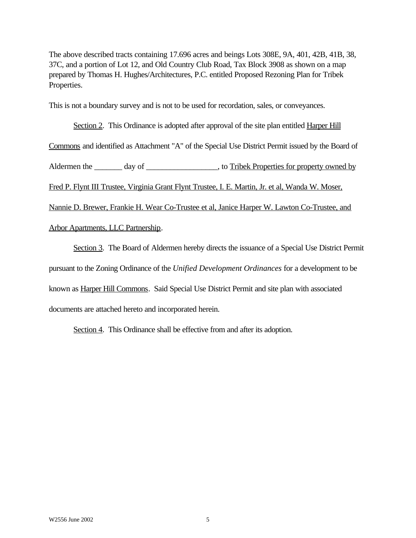The above described tracts containing 17.696 acres and beings Lots 308E, 9A, 401, 42B, 41B, 38, 37C, and a portion of Lot 12, and Old Country Club Road, Tax Block 3908 as shown on a map prepared by Thomas H. Hughes/Architectures, P.C. entitled Proposed Rezoning Plan for Tribek Properties.

This is not a boundary survey and is not to be used for recordation, sales, or conveyances.

Section 2. This Ordinance is adopted after approval of the site plan entitled Harper Hill Commons and identified as Attachment "A" of the Special Use District Permit issued by the Board of Aldermen the \_\_\_\_\_\_\_ day of \_\_\_\_\_\_\_\_\_\_\_\_\_\_\_\_\_, to Tribek Properties for property owned by Fred P. Flynt III Trustee, Virginia Grant Flynt Trustee, I. E. Martin, Jr. et al, Wanda W. Moser, Nannie D. Brewer, Frankie H. Wear Co-Trustee et al, Janice Harper W. Lawton Co-Trustee, and Arbor Apartments, LLC Partnership.

Section 3. The Board of Aldermen hereby directs the issuance of a Special Use District Permit pursuant to the Zoning Ordinance of the *Unified Development Ordinances* for a development to be known as Harper Hill Commons. Said Special Use District Permit and site plan with associated documents are attached hereto and incorporated herein.

Section 4. This Ordinance shall be effective from and after its adoption.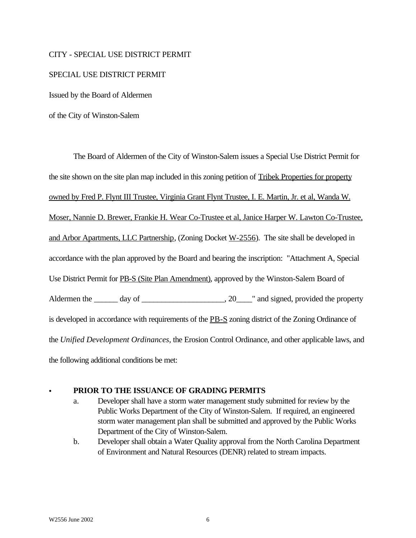#### CITY - SPECIAL USE DISTRICT PERMIT

#### SPECIAL USE DISTRICT PERMIT

Issued by the Board of Aldermen

of the City of Winston-Salem

The Board of Aldermen of the City of Winston-Salem issues a Special Use District Permit for the site shown on the site plan map included in this zoning petition of Tribek Properties for property owned by Fred P. Flynt III Trustee, Virginia Grant Flynt Trustee, I. E. Martin, Jr. et al, Wanda W. Moser, Nannie D. Brewer, Frankie H. Wear Co-Trustee et al, Janice Harper W. Lawton Co-Trustee, and Arbor Apartments, LLC Partnership, (Zoning Docket W-2556). The site shall be developed in accordance with the plan approved by the Board and bearing the inscription: "Attachment A, Special Use District Permit for PB-S (Site Plan Amendment), approved by the Winston-Salem Board of Aldermen the \_\_\_\_\_\_ day of \_\_\_\_\_\_\_\_\_\_\_\_\_\_\_\_\_\_\_\_, 20\_\_\_\_" and signed, provided the property is developed in accordance with requirements of the PB-S zoning district of the Zoning Ordinance of the *Unified Development Ordinances*, the Erosion Control Ordinance, and other applicable laws, and the following additional conditions be met:

### PRIOR TO THE ISSUANCE OF GRADING PERMITS

- a. Developer shall have a storm water management study submitted for review by the Public Works Department of the City of Winston-Salem. If required, an engineered storm water management plan shall be submitted and approved by the Public Works Department of the City of Winston-Salem.
- b. Developer shall obtain a Water Quality approval from the North Carolina Department of Environment and Natural Resources (DENR) related to stream impacts.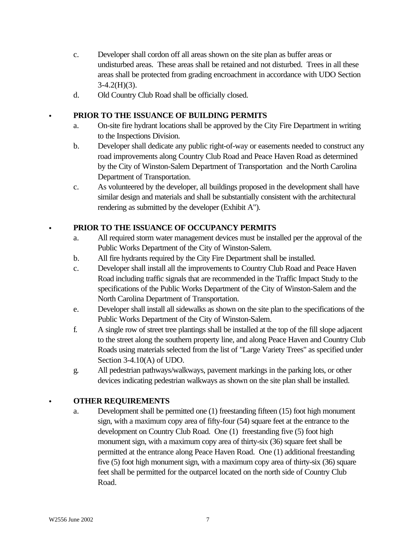- c. Developer shall cordon off all areas shown on the site plan as buffer areas or undisturbed areas. These areas shall be retained and not disturbed. Trees in all these areas shall be protected from grading encroachment in accordance with UDO Section  $3-4.2(H)(3)$ .
- d. Old Country Club Road shall be officially closed.

# C **PRIOR TO THE ISSUANCE OF BUILDING PERMITS**

- a. On-site fire hydrant locations shall be approved by the City Fire Department in writing to the Inspections Division.
- b. Developer shall dedicate any public right-of-way or easements needed to construct any road improvements along Country Club Road and Peace Haven Road as determined by the City of Winston-Salem Department of Transportation and the North Carolina Department of Transportation.
- c. As volunteered by the developer, all buildings proposed in the development shall have similar design and materials and shall be substantially consistent with the architectural rendering as submitted by the developer (Exhibit A").

# PRIOR TO THE ISSUANCE OF OCCUPANCY PERMITS

- a. All required storm water management devices must be installed per the approval of the Public Works Department of the City of Winston-Salem.
- b. All fire hydrants required by the City Fire Department shall be installed.
- c. Developer shall install all the improvements to Country Club Road and Peace Haven Road including traffic signals that are recommended in the Traffic Impact Study to the specifications of the Public Works Department of the City of Winston-Salem and the North Carolina Department of Transportation.
- e. Developer shall install all sidewalks as shown on the site plan to the specifications of the Public Works Department of the City of Winston-Salem.
- f. A single row of street tree plantings shall be installed at the top of the fill slope adjacent to the street along the southern property line, and along Peace Haven and Country Club Roads using materials selected from the list of "Large Variety Trees" as specified under Section 3-4.10(A) of UDO.
- g. All pedestrian pathways/walkways, pavement markings in the parking lots, or other devices indicating pedestrian walkways as shown on the site plan shall be installed.

# C **OTHER REQUIREMENTS**

a. Development shall be permitted one (1) freestanding fifteen (15) foot high monument sign, with a maximum copy area of fifty-four (54) square feet at the entrance to the development on Country Club Road. One (1) freestanding five (5) foot high monument sign, with a maximum copy area of thirty-six (36) square feet shall be permitted at the entrance along Peace Haven Road. One (1) additional freestanding five (5) foot high monument sign, with a maximum copy area of thirty-six (36) square feet shall be permitted for the outparcel located on the north side of Country Club Road.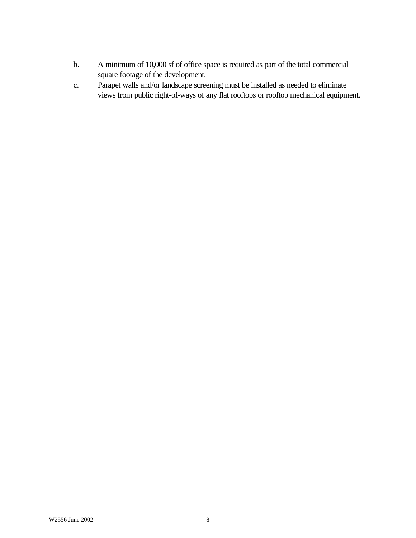- b. A minimum of 10,000 sf of office space is required as part of the total commercial square footage of the development.
- c. Parapet walls and/or landscape screening must be installed as needed to eliminate views from public right-of-ways of any flat rooftops or rooftop mechanical equipment.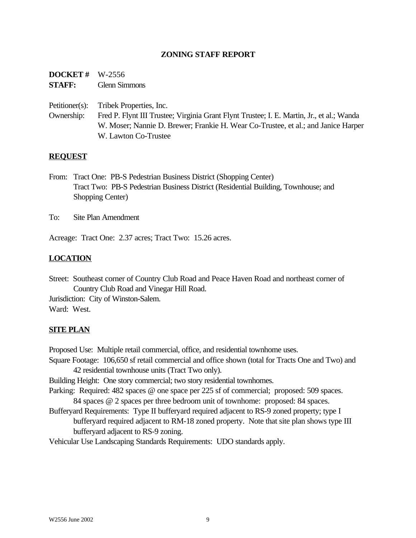### **ZONING STAFF REPORT**

**DOCKET #** W-2556 **STAFF:** Glenn Simmons

Petitioner(s): Tribek Properties, Inc.

Ownership: Fred P. Flynt III Trustee; Virginia Grant Flynt Trustee; I. E. Martin, Jr., et al.; Wanda W. Moser; Nannie D. Brewer; Frankie H. Wear Co-Trustee, et al.; and Janice Harper W. Lawton Co-Trustee

#### **REQUEST**

- From: Tract One: PB-S Pedestrian Business District (Shopping Center) Tract Two: PB-S Pedestrian Business District (Residential Building, Townhouse; and Shopping Center)
- To: Site Plan Amendment

Acreage: Tract One: 2.37 acres; Tract Two: 15.26 acres.

### **LOCATION**

Street: Southeast corner of Country Club Road and Peace Haven Road and northeast corner of Country Club Road and Vinegar Hill Road.

Jurisdiction: City of Winston-Salem. Ward: West.

#### **SITE PLAN**

Proposed Use: Multiple retail commercial, office, and residential townhome uses. Square Footage: 106,650 sf retail commercial and office shown (total for Tracts One and Two) and 42 residential townhouse units (Tract Two only).

Building Height: One story commercial; two story residential townhomes.

- Parking: Required: 482 spaces @ one space per 225 sf of commercial; proposed: 509 spaces. 84 spaces @ 2 spaces per three bedroom unit of townhome: proposed: 84 spaces.
- Bufferyard Requirements: Type II bufferyard required adjacent to RS-9 zoned property; type I bufferyard required adjacent to RM-18 zoned property. Note that site plan shows type III bufferyard adjacent to RS-9 zoning.

Vehicular Use Landscaping Standards Requirements: UDO standards apply.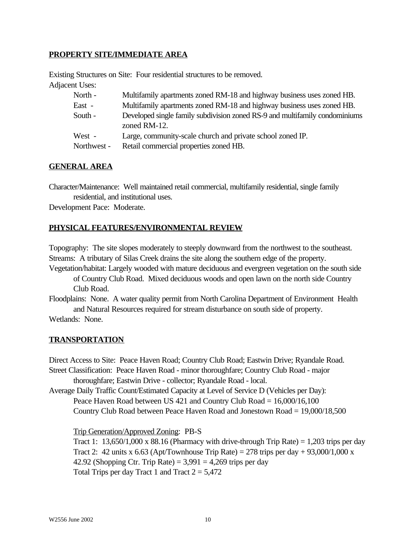## **PROPERTY SITE/IMMEDIATE AREA**

Existing Structures on Site: Four residential structures to be removed. Adjacent Uses:

| North -     | Multifamily apartments zoned RM-18 and highway business uses zoned HB.                      |
|-------------|---------------------------------------------------------------------------------------------|
| East -      | Multifamily apartments zoned RM-18 and highway business uses zoned HB.                      |
| South -     | Developed single family subdivision zoned RS-9 and multifamily condominiums<br>zoned RM-12. |
| West -      | Large, community-scale church and private school zoned IP.                                  |
| Northwest - | Retail commercial properties zoned HB.                                                      |

#### **GENERAL AREA**

Character/Maintenance: Well maintained retail commercial, multifamily residential, single family residential, and institutional uses.

Development Pace: Moderate.

### **PHYSICAL FEATURES/ENVIRONMENTAL REVIEW**

Topography: The site slopes moderately to steeply downward from the northwest to the southeast. Streams: A tributary of Silas Creek drains the site along the southern edge of the property.

Vegetation/habitat: Largely wooded with mature deciduous and evergreen vegetation on the south side of Country Club Road. Mixed deciduous woods and open lawn on the north side Country Club Road.

Floodplains: None. A water quality permit from North Carolina Department of Environment Health and Natural Resources required for stream disturbance on south side of property.

Wetlands: None.

### **TRANSPORTATION**

Direct Access to Site: Peace Haven Road; Country Club Road; Eastwin Drive; Ryandale Road. Street Classification: Peace Haven Road - minor thoroughfare; Country Club Road - major

thoroughfare; Eastwin Drive - collector; Ryandale Road - local.

Average Daily Traffic Count/Estimated Capacity at Level of Service D (Vehicles per Day): Peace Haven Road between US 421 and Country Club Road  $= 16,000/16,100$ 

Country Club Road between Peace Haven Road and Jonestown Road = 19,000/18,500

Trip Generation/Approved Zoning: PB-S

Tract 1:  $13,650/1,000 \times 88.16$  (Pharmacy with drive-through Trip Rate) = 1,203 trips per day Tract 2: 42 units x 6.63 (Apt/Townhouse Trip Rate) = 278 trips per day + 93,000/1,000 x 42.92 (Shopping Ctr. Trip Rate) =  $3,991 = 4,269$  trips per day Total Trips per day Tract 1 and Tract  $2 = 5,472$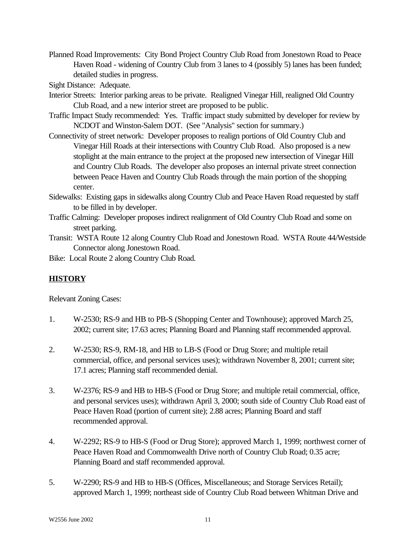Planned Road Improvements: City Bond Project Country Club Road from Jonestown Road to Peace Haven Road - widening of Country Club from 3 lanes to 4 (possibly 5) lanes has been funded; detailed studies in progress.

Sight Distance: Adequate.

- Interior Streets: Interior parking areas to be private. Realigned Vinegar Hill, realigned Old Country Club Road, and a new interior street are proposed to be public.
- Traffic Impact Study recommended: Yes. Traffic impact study submitted by developer for review by NCDOT and Winston-Salem DOT. (See "Analysis" section for summary.)
- Connectivity of street network: Developer proposes to realign portions of Old Country Club and Vinegar Hill Roads at their intersections with Country Club Road. Also proposed is a new stoplight at the main entrance to the project at the proposed new intersection of Vinegar Hill and Country Club Roads. The developer also proposes an internal private street connection between Peace Haven and Country Club Roads through the main portion of the shopping center.
- Sidewalks: Existing gaps in sidewalks along Country Club and Peace Haven Road requested by staff to be filled in by developer.
- Traffic Calming: Developer proposes indirect realignment of Old Country Club Road and some on street parking.
- Transit: WSTA Route 12 along Country Club Road and Jonestown Road. WSTA Route 44/Westside Connector along Jonestown Road.

Bike: Local Route 2 along Country Club Road.

# **HISTORY**

Relevant Zoning Cases:

- 1. W-2530; RS-9 and HB to PB-S (Shopping Center and Townhouse); approved March 25, 2002; current site; 17.63 acres; Planning Board and Planning staff recommended approval.
- 2. W-2530; RS-9, RM-18, and HB to LB-S (Food or Drug Store; and multiple retail commercial, office, and personal services uses); withdrawn November 8, 2001; current site; 17.1 acres; Planning staff recommended denial.
- 3. W-2376; RS-9 and HB to HB-S (Food or Drug Store; and multiple retail commercial, office, and personal services uses); withdrawn April 3, 2000; south side of Country Club Road east of Peace Haven Road (portion of current site); 2.88 acres; Planning Board and staff recommended approval.
- 4. W-2292; RS-9 to HB-S (Food or Drug Store); approved March 1, 1999; northwest corner of Peace Haven Road and Commonwealth Drive north of Country Club Road; 0.35 acre; Planning Board and staff recommended approval.
- 5. W-2290; RS-9 and HB to HB-S (Offices, Miscellaneous; and Storage Services Retail); approved March 1, 1999; northeast side of Country Club Road between Whitman Drive and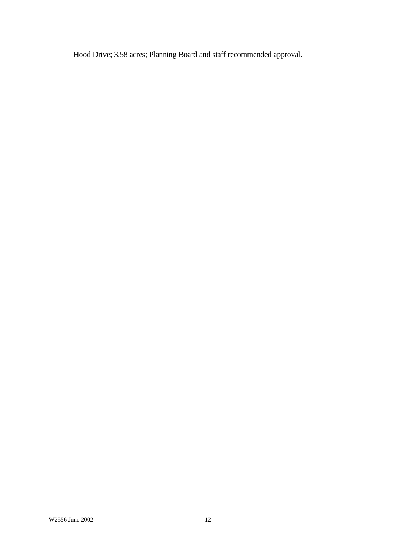Hood Drive; 3.58 acres; Planning Board and staff recommended approval.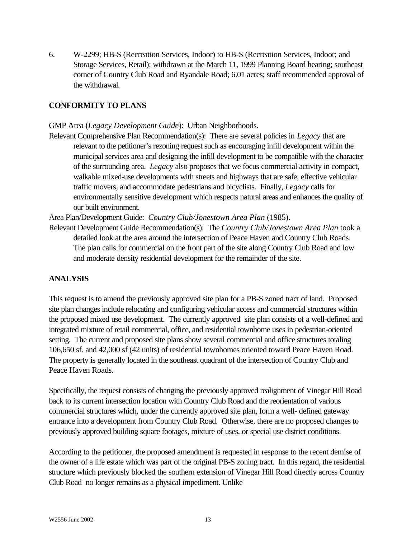6. W-2299; HB-S (Recreation Services, Indoor) to HB-S (Recreation Services, Indoor; and Storage Services, Retail); withdrawn at the March 11, 1999 Planning Board hearing; southeast corner of Country Club Road and Ryandale Road; 6.01 acres; staff recommended approval of the withdrawal.

### **CONFORMITY TO PLANS**

GMP Area (*Legacy Development Guide*): Urban Neighborhoods.

Relevant Comprehensive Plan Recommendation(s): There are several policies in *Legacy* that are relevant to the petitioner's rezoning request such as encouraging infill development within the municipal services area and designing the infill development to be compatible with the character of the surrounding area. *Legacy* also proposes that we focus commercial activity in compact, walkable mixed-use developments with streets and highways that are safe, effective vehicular traffic movers, and accommodate pedestrians and bicyclists. Finally, *Legacy* calls for environmentally sensitive development which respects natural areas and enhances the quality of our built environment.

Area Plan/Development Guide: *Country Club/Jonestown Area Plan* (1985).

Relevant Development Guide Recommendation(s): The *Country Club/Jonestown Area Plan* took a detailed look at the area around the intersection of Peace Haven and Country Club Roads. The plan calls for commercial on the front part of the site along Country Club Road and low and moderate density residential development for the remainder of the site.

### **ANALYSIS**

This request is to amend the previously approved site plan for a PB-S zoned tract of land. Proposed site plan changes include relocating and configuring vehicular access and commercial structures within the proposed mixed use development. The currently approved site plan consists of a well-defined and integrated mixture of retail commercial, office, and residential townhome uses in pedestrian-oriented setting. The current and proposed site plans show several commercial and office structures totaling 106,650 sf. and 42,000 sf (42 units) of residential townhomes oriented toward Peace Haven Road. The property is generally located in the southeast quadrant of the intersection of Country Club and Peace Haven Roads.

Specifically, the request consists of changing the previously approved realignment of Vinegar Hill Road back to its current intersection location with Country Club Road and the reorientation of various commercial structures which, under the currently approved site plan, form a well- defined gateway entrance into a development from Country Club Road. Otherwise, there are no proposed changes to previously approved building square footages, mixture of uses, or special use district conditions.

According to the petitioner, the proposed amendment is requested in response to the recent demise of the owner of a life estate which was part of the original PB-S zoning tract. In this regard, the residential structure which previously blocked the southern extension of Vinegar Hill Road directly across Country Club Road no longer remains as a physical impediment. Unlike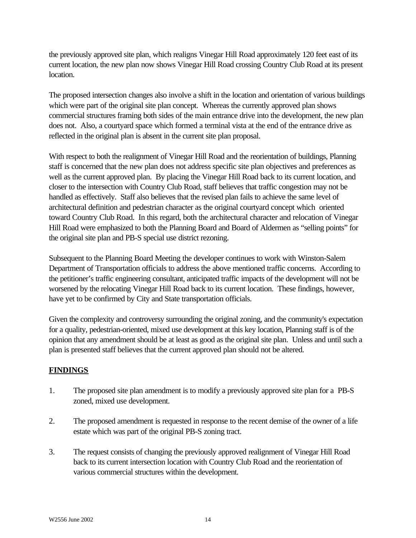the previously approved site plan, which realigns Vinegar Hill Road approximately 120 feet east of its current location, the new plan now shows Vinegar Hill Road crossing Country Club Road at its present location.

The proposed intersection changes also involve a shift in the location and orientation of various buildings which were part of the original site plan concept. Whereas the currently approved plan shows commercial structures framing both sides of the main entrance drive into the development, the new plan does not. Also, a courtyard space which formed a terminal vista at the end of the entrance drive as reflected in the original plan is absent in the current site plan proposal.

With respect to both the realignment of Vinegar Hill Road and the reorientation of buildings, Planning staff is concerned that the new plan does not address specific site plan objectives and preferences as well as the current approved plan. By placing the Vinegar Hill Road back to its current location, and closer to the intersection with Country Club Road, staff believes that traffic congestion may not be handled as effectively. Staff also believes that the revised plan fails to achieve the same level of architectural definition and pedestrian character as the original courtyard concept which oriented toward Country Club Road. In this regard, both the architectural character and relocation of Vinegar Hill Road were emphasized to both the Planning Board and Board of Aldermen as "selling points" for the original site plan and PB-S special use district rezoning.

Subsequent to the Planning Board Meeting the developer continues to work with Winston-Salem Department of Transportation officials to address the above mentioned traffic concerns. According to the petitioner's traffic engineering consultant, anticipated traffic impacts of the development will not be worsened by the relocating Vinegar Hill Road back to its current location. These findings, however, have yet to be confirmed by City and State transportation officials.

Given the complexity and controversy surrounding the original zoning, and the community's expectation for a quality, pedestrian-oriented, mixed use development at this key location, Planning staff is of the opinion that any amendment should be at least as good as the original site plan. Unless and until such a plan is presented staff believes that the current approved plan should not be altered.

# **FINDINGS**

- 1. The proposed site plan amendment is to modify a previously approved site plan for a PB-S zoned, mixed use development.
- 2. The proposed amendment is requested in response to the recent demise of the owner of a life estate which was part of the original PB-S zoning tract.
- 3. The request consists of changing the previously approved realignment of Vinegar Hill Road back to its current intersection location with Country Club Road and the reorientation of various commercial structures within the development.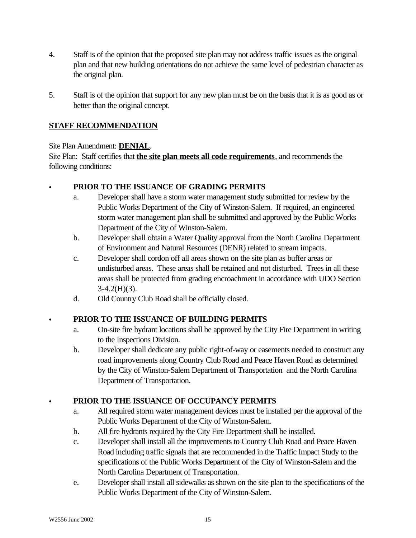- 4. Staff is of the opinion that the proposed site plan may not address traffic issues as the original plan and that new building orientations do not achieve the same level of pedestrian character as the original plan.
- 5. Staff is of the opinion that support for any new plan must be on the basis that it is as good as or better than the original concept.

# **STAFF RECOMMENDATION**

# Site Plan Amendment: **DENIAL**.

Site Plan: Staff certifies that **the site plan meets all code requirements**, and recommends the following conditions:

# PRIOR TO THE ISSUANCE OF GRADING PERMITS

- a. Developer shall have a storm water management study submitted for review by the Public Works Department of the City of Winston-Salem. If required, an engineered storm water management plan shall be submitted and approved by the Public Works Department of the City of Winston-Salem.
- b. Developer shall obtain a Water Quality approval from the North Carolina Department of Environment and Natural Resources (DENR) related to stream impacts.
- c. Developer shall cordon off all areas shown on the site plan as buffer areas or undisturbed areas. These areas shall be retained and not disturbed. Trees in all these areas shall be protected from grading encroachment in accordance with UDO Section  $3-4.2(H)(3)$ .
- d. Old Country Club Road shall be officially closed.

# C **PRIOR TO THE ISSUANCE OF BUILDING PERMITS**

- a. On-site fire hydrant locations shall be approved by the City Fire Department in writing to the Inspections Division.
- b. Developer shall dedicate any public right-of-way or easements needed to construct any road improvements along Country Club Road and Peace Haven Road as determined by the City of Winston-Salem Department of Transportation and the North Carolina Department of Transportation.

# PRIOR TO THE ISSUANCE OF OCCUPANCY PERMITS

- a. All required storm water management devices must be installed per the approval of the Public Works Department of the City of Winston-Salem.
- b. All fire hydrants required by the City Fire Department shall be installed.
- c. Developer shall install all the improvements to Country Club Road and Peace Haven Road including traffic signals that are recommended in the Traffic Impact Study to the specifications of the Public Works Department of the City of Winston-Salem and the North Carolina Department of Transportation.
- e. Developer shall install all sidewalks as shown on the site plan to the specifications of the Public Works Department of the City of Winston-Salem.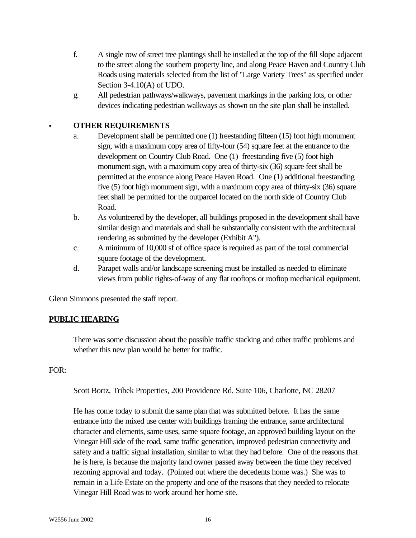- f. A single row of street tree plantings shall be installed at the top of the fill slope adjacent to the street along the southern property line, and along Peace Haven and Country Club Roads using materials selected from the list of "Large Variety Trees" as specified under Section 3-4.10(A) of UDO.
- g. All pedestrian pathways/walkways, pavement markings in the parking lots, or other devices indicating pedestrian walkways as shown on the site plan shall be installed.

## C **OTHER REQUIREMENTS**

- a. Development shall be permitted one (1) freestanding fifteen (15) foot high monument sign, with a maximum copy area of fifty-four (54) square feet at the entrance to the development on Country Club Road. One (1) freestanding five (5) foot high monument sign, with a maximum copy area of thirty-six (36) square feet shall be permitted at the entrance along Peace Haven Road. One (1) additional freestanding five (5) foot high monument sign, with a maximum copy area of thirty-six (36) square feet shall be permitted for the outparcel located on the north side of Country Club Road.
- b. As volunteered by the developer, all buildings proposed in the development shall have similar design and materials and shall be substantially consistent with the architectural rendering as submitted by the developer (Exhibit A").
- c. A minimum of 10,000 sf of office space is required as part of the total commercial square footage of the development.
- d. Parapet walls and/or landscape screening must be installed as needed to eliminate views from public rights-of-way of any flat rooftops or rooftop mechanical equipment.

Glenn Simmons presented the staff report.

# **PUBLIC HEARING**

There was some discussion about the possible traffic stacking and other traffic problems and whether this new plan would be better for traffic.

#### FOR:

Scott Bortz, Tribek Properties, 200 Providence Rd. Suite 106, Charlotte, NC 28207

He has come today to submit the same plan that was submitted before. It has the same entrance into the mixed use center with buildings framing the entrance, same architectural character and elements, same uses, same square footage, an approved building layout on the Vinegar Hill side of the road, same traffic generation, improved pedestrian connectivity and safety and a traffic signal installation, similar to what they had before. One of the reasons that he is here, is because the majority land owner passed away between the time they received rezoning approval and today. (Pointed out where the decedents home was.) She was to remain in a Life Estate on the property and one of the reasons that they needed to relocate Vinegar Hill Road was to work around her home site.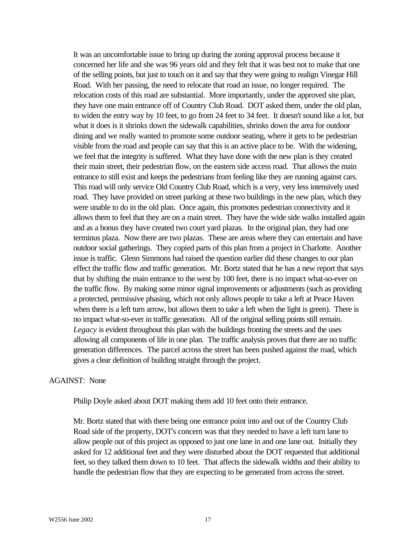It was an uncomfortable issue to bring up during the zoning approval process because it concerned her life and she was 96 years old and they felt that it was best not to make that one of the selling points, but just to touch on it and say that they were going to realign Vinegar Hill Road. With her passing, the need to relocate that road an issue, no longer required. The relocation costs of this road are substantial. More importantly, under the approved site plan, they have one main entrance off of Country Club Road. DOT asked them, under the old plan, to widen the entry way by 10 feet, to go from 24 feet to 34 feet. It doesn't sound like a lot, but what it does is it shrinks down the sidewalk capabilities, shrinks down the area for outdoor dining and we really wanted to promote some outdoor seating, where it gets to be pedestrian visible from the road and people can say that this is an active place to be. With the widening, we feel that the integrity is suffered. What they have done with the new plan is they created their main street, their pedestrian flow, on the eastern side access road. That allows the main entrance to still exist and keeps the pedestrians from feeling like they are running against cars. This road will only service Old Country Club Road, which is a very, very less intensively used road. They have provided on street parking at these two buildings in the new plan, which they were unable to do in the old plan. Once again, this promotes pedestrian connectivity and it allows them to feel that they are on a main street. They have the wide side walks installed again and as a bonus they have created two court yard plazas. In the original plan, they had one terminus plaza. Now there are two plazas. These are areas where they can entertain and have outdoor social gatherings. They copied parts of this plan from a project in Charlotte. Another issue is traffic. Glenn Simmons had raised the question earlier did these changes to our plan effect the traffic flow and traffic generation. Mr. Bortz stated that he has a new report that says that by shifting the main entrance to the west by 100 feet, there is no impact what-so-ever on the traffic flow. By making some minor signal improvements or adjustments (such as providing a protected, permissive phasing, which not only allows people to take a left at Peace Haven when there is a left turn arrow, but allows them to take a left when the light is green). There is no impact what-so-ever in traffic generation. All of the original selling points still remain. *Legacy* is evident throughout this plan with the buildings fronting the streets and the uses allowing all components of life in one plan. The traffic analysis proves that there are no traffic generation differences. The parcel across the street has been pushed against the road, which gives a clear definition of building straight through the project.

#### AGAINST: None

Philip Doyle asked about DOT making them add 10 feet onto their entrance.

Mr. Bortz stated that with there being one entrance point into and out of the Country Club Road side of the property, DOT's concern was that they needed to have a left turn lane to allow people out of this project as opposed to just one lane in and one lane out. Initially they asked for 12 additional feet and they were disturbed about the DOT requested that additional feet, so they talked them down to 10 feet. That affects the sidewalk widths and their ability to handle the pedestrian flow that they are expecting to be generated from across the street.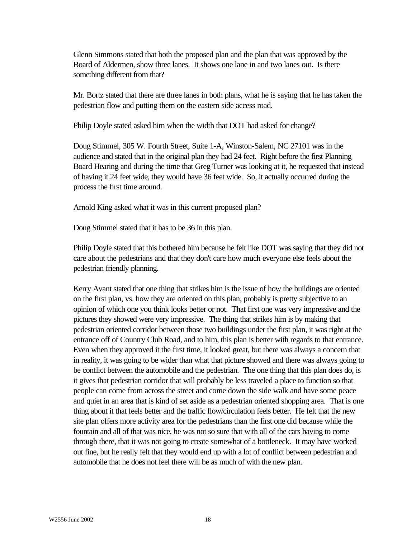Glenn Simmons stated that both the proposed plan and the plan that was approved by the Board of Aldermen, show three lanes. It shows one lane in and two lanes out. Is there something different from that?

Mr. Bortz stated that there are three lanes in both plans, what he is saying that he has taken the pedestrian flow and putting them on the eastern side access road.

Philip Doyle stated asked him when the width that DOT had asked for change?

Doug Stimmel, 305 W. Fourth Street, Suite 1-A, Winston-Salem, NC 27101 was in the audience and stated that in the original plan they had 24 feet. Right before the first Planning Board Hearing and during the time that Greg Turner was looking at it, he requested that instead of having it 24 feet wide, they would have 36 feet wide. So, it actually occurred during the process the first time around.

Arnold King asked what it was in this current proposed plan?

Doug Stimmel stated that it has to be 36 in this plan.

Philip Doyle stated that this bothered him because he felt like DOT was saying that they did not care about the pedestrians and that they don't care how much everyone else feels about the pedestrian friendly planning.

Kerry Avant stated that one thing that strikes him is the issue of how the buildings are oriented on the first plan, vs. how they are oriented on this plan, probably is pretty subjective to an opinion of which one you think looks better or not. That first one was very impressive and the pictures they showed were very impressive. The thing that strikes him is by making that pedestrian oriented corridor between those two buildings under the first plan, it was right at the entrance off of Country Club Road, and to him, this plan is better with regards to that entrance. Even when they approved it the first time, it looked great, but there was always a concern that in reality, it was going to be wider than what that picture showed and there was always going to be conflict between the automobile and the pedestrian. The one thing that this plan does do, is it gives that pedestrian corridor that will probably be less traveled a place to function so that people can come from across the street and come down the side walk and have some peace and quiet in an area that is kind of set aside as a pedestrian oriented shopping area. That is one thing about it that feels better and the traffic flow/circulation feels better. He felt that the new site plan offers more activity area for the pedestrians than the first one did because while the fountain and all of that was nice, he was not so sure that with all of the cars having to come through there, that it was not going to create somewhat of a bottleneck. It may have worked out fine, but he really felt that they would end up with a lot of conflict between pedestrian and automobile that he does not feel there will be as much of with the new plan.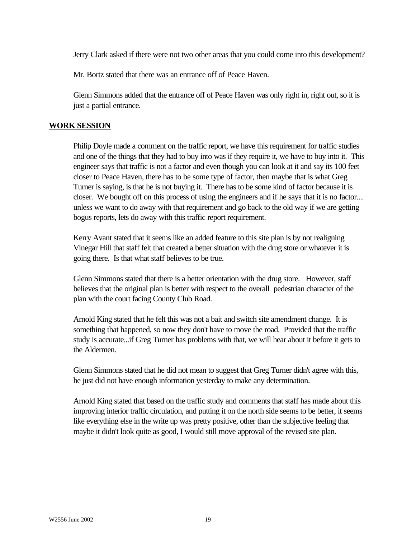Jerry Clark asked if there were not two other areas that you could come into this development?

Mr. Bortz stated that there was an entrance off of Peace Haven.

Glenn Simmons added that the entrance off of Peace Haven was only right in, right out, so it is just a partial entrance.

#### **WORK SESSION**

Philip Doyle made a comment on the traffic report, we have this requirement for traffic studies and one of the things that they had to buy into was if they require it, we have to buy into it. This engineer says that traffic is not a factor and even though you can look at it and say its 100 feet closer to Peace Haven, there has to be some type of factor, then maybe that is what Greg Turner is saying, is that he is not buying it. There has to be some kind of factor because it is closer. We bought off on this process of using the engineers and if he says that it is no factor.... unless we want to do away with that requirement and go back to the old way if we are getting bogus reports, lets do away with this traffic report requirement.

Kerry Avant stated that it seems like an added feature to this site plan is by not realigning Vinegar Hill that staff felt that created a better situation with the drug store or whatever it is going there. Is that what staff believes to be true.

Glenn Simmons stated that there is a better orientation with the drug store. However, staff believes that the original plan is better with respect to the overall pedestrian character of the plan with the court facing County Club Road.

Arnold King stated that he felt this was not a bait and switch site amendment change. It is something that happened, so now they don't have to move the road. Provided that the traffic study is accurate...if Greg Turner has problems with that, we will hear about it before it gets to the Aldermen.

Glenn Simmons stated that he did not mean to suggest that Greg Turner didn't agree with this, he just did not have enough information yesterday to make any determination.

Arnold King stated that based on the traffic study and comments that staff has made about this improving interior traffic circulation, and putting it on the north side seems to be better, it seems like everything else in the write up was pretty positive, other than the subjective feeling that maybe it didn't look quite as good, I would still move approval of the revised site plan.